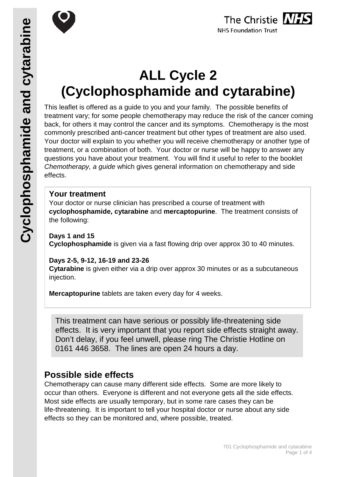

# **ALL Cycle 2 (Cyclophosphamide and cytarabine)**

This leaflet is offered as a guide to you and your family. The possible benefits of treatment vary; for some people chemotherapy may reduce the risk of the cancer coming back, for others it may control the cancer and its symptoms. Chemotherapy is the most commonly prescribed anti-cancer treatment but other types of treatment are also used. Your doctor will explain to you whether you will receive chemotherapy or another type of treatment, or a combination of both. Your doctor or nurse will be happy to answer any questions you have about your treatment. You will find it useful to refer to the booklet *Chemotherapy, a guide* which gives general information on chemotherapy and side effects.

### **Your treatment**

Your doctor or nurse clinician has prescribed a course of treatment with **cyclophosphamide, cytarabine** and **mercaptopurine**. The treatment consists of the following:

#### **Days 1 and 15**

**Cyclophosphamide** is given via a fast flowing drip over approx 30 to 40 minutes.

#### **Days 2-5, 9-12, 16-19 and 23-26**

**Cytarabine** is given either via a drip over approx 30 minutes or as a subcutaneous injection.

**Mercaptopurine** tablets are taken every day for 4 weeks.

This treatment can have serious or possibly life-threatening side effects. It is very important that you report side effects straight away. Don't delay, if you feel unwell, please ring The Christie Hotline on 0161 446 3658. The lines are open 24 hours a day.

## **Possible side effects**

Chemotherapy can cause many different side effects. Some are more likely to occur than others. Everyone is different and not everyone gets all the side effects. Most side effects are usually temporary, but in some rare cases they can be life-threatening. It is important to tell your hospital doctor or nurse about any side effects so they can be monitored and, where possible, treated.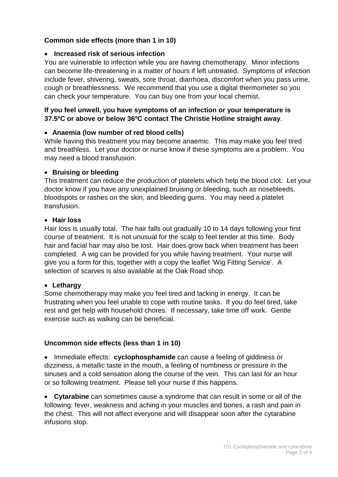#### **Common side effects (more than 1 in 10)**

#### • **Increased risk of serious infection**

You are vulnerable to infection while you are having chemotherapy. Minor infections can become life-threatening in a matter of hours if left untreated. Symptoms of infection include fever, shivering, sweats, sore throat, diarrhoea, discomfort when you pass urine, cough or breathlessness. We recommend that you use a digital thermometer so you can check your temperature. You can buy one from your local chemist.

#### **If you feel unwell, you have symptoms of an infection or your temperature is 37.5ºC or above or below 36ºC contact The Christie Hotline straight away**.

#### • **Anaemia (low number of red blood cells)**

While having this treatment you may become anaemic. This may make you feel tired and breathless. Let your doctor or nurse know if these symptoms are a problem. You may need a blood transfusion.

#### • **Bruising or bleeding**

This treatment can reduce the production of platelets which help the blood clot. Let your doctor know if you have any unexplained bruising or bleeding, such as nosebleeds, bloodspots or rashes on the skin, and bleeding gums. You may need a platelet transfusion.

#### • **Hair loss**

Hair loss is usually total. The hair falls out gradually 10 to 14 days following your first course of treatment. It is not unusual for the scalp to feel tender at this time. Body hair and facial hair may also be lost. Hair does grow back when treatment has been completed. A wig can be provided for you while having treatment. Your nurse will give you a form for this, together with a copy the leaflet 'Wig Fitting Service'. A selection of scarves is also available at the Oak Road shop.

#### • **Lethargy**

Some chemotherapy may make you feel tired and lacking in energy. It can be frustrating when you feel unable to cope with routine tasks. If you do feel tired, take rest and get help with household chores. If necessary, take time off work. Gentle exercise such as walking can be beneficial.

#### **Uncommon side effects (less than 1 in 10)**

• Immediate effects: **cyclophosphamide** can cause a feeling of giddiness or dizziness, a metallic taste in the mouth, a feeling of numbness or pressure in the sinuses and a cold sensation along the course of the vein. This can last for an hour or so following treatment. Please tell your nurse if this happens.

• **Cytarabine** can sometimes cause a syndrome that can result in some or all of the following: fever, weakness and aching in your muscles and bones, a rash and pain in the chest. This will not affect everyone and will disappear soon after the cytarabine infusions stop.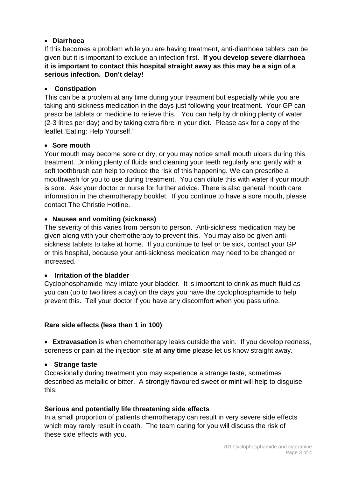#### • **Diarrhoea**

If this becomes a problem while you are having treatment, anti-diarrhoea tablets can be given but it is important to exclude an infection first. **If you develop severe diarrhoea it is important to contact this hospital straight away as this may be a sign of a serious infection. Don't delay!**

#### • **Constipation**

This can be a problem at any time during your treatment but especially while you are taking anti-sickness medication in the days just following your treatment. Your GP can prescribe tablets or medicine to relieve this. You can help by drinking plenty of water (2-3 litres per day) and by taking extra fibre in your diet. Please ask for a copy of the leaflet 'Eating: Help Yourself.'

#### • **Sore mouth**

Your mouth may become sore or dry, or you may notice small mouth ulcers during this treatment. Drinking plenty of fluids and cleaning your teeth regularly and gently with a soft toothbrush can help to reduce the risk of this happening. We can prescribe a mouthwash for you to use during treatment. You can dilute this with water if your mouth is sore. Ask your doctor or nurse for further advice. There is also general mouth care information in the chemotherapy booklet. If you continue to have a sore mouth, please contact The Christie Hotline.

#### • **Nausea and vomiting (sickness)**

The severity of this varies from person to person. Anti-sickness medication may be given along with your chemotherapy to prevent this. You may also be given antisickness tablets to take at home. If you continue to feel or be sick, contact your GP or this hospital, because your anti-sickness medication may need to be changed or increased.

#### • **Irritation of the bladder**

Cyclophosphamide may irritate your bladder. It is important to drink as much fluid as you can (up to two litres a day) on the days you have the cyclophosphamide to help prevent this. Tell your doctor if you have any discomfort when you pass urine.

#### **Rare side effects (less than 1 in 100)**

• **Extravasation** is when chemotherapy leaks outside the vein. If you develop redness, soreness or pain at the injection site **at any time** please let us know straight away.

#### • **Strange taste**

Occasionally during treatment you may experience a strange taste, sometimes described as metallic or bitter. A strongly flavoured sweet or mint will help to disguise this.

#### **Serious and potentially life threatening side effects**

In a small proportion of patients chemotherapy can result in very severe side effects which may rarely result in death. The team caring for you will discuss the risk of these side effects with you.